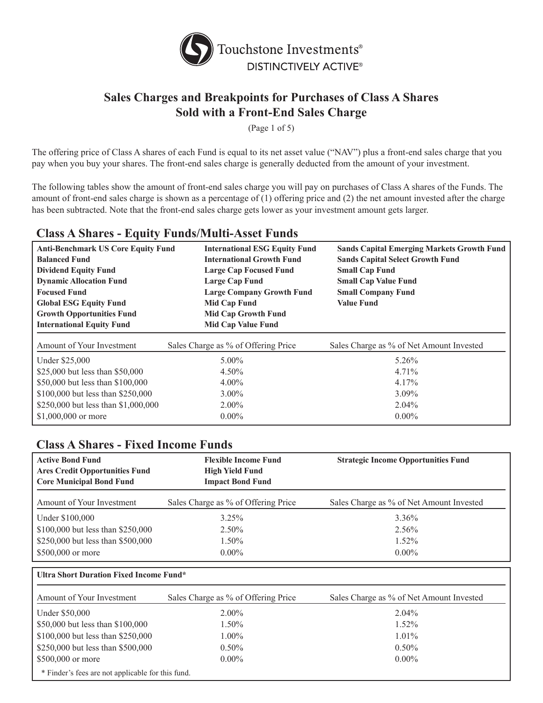

(Page 1 of 5)

The offering price of Class A shares of each Fund is equal to its net asset value ("NAV") plus a front-end sales charge that you pay when you buy your shares. The front-end sales charge is generally deducted from the amount of your investment.

The following tables show the amount of front-end sales charge you will pay on purchases of Class A shares of the Funds. The amount of front-end sales charge is shown as a percentage of (1) offering price and (2) the net amount invested after the charge has been subtracted. Note that the front-end sales charge gets lower as your investment amount gets larger.

# **Class A Shares - Equity Funds/Multi-Asset Funds**

| <b>Anti-Benchmark US Core Equity Fund</b><br><b>Balanced Fund</b><br><b>Dividend Equity Fund</b><br><b>Dynamic Allocation Fund</b><br><b>Focused Fund</b><br><b>Global ESG Equity Fund</b><br><b>Growth Opportunities Fund</b><br><b>International Equity Fund</b> | <b>International ESG Equity Fund</b><br><b>International Growth Fund</b><br><b>Large Cap Focused Fund</b><br><b>Large Cap Fund</b><br><b>Large Company Growth Fund</b><br>Mid Cap Fund<br><b>Mid Cap Growth Fund</b><br><b>Mid Cap Value Fund</b> | <b>Sands Capital Emerging Markets Growth Fund</b><br><b>Sands Capital Select Growth Fund</b><br><b>Small Cap Fund</b><br><b>Small Cap Value Fund</b><br><b>Small Company Fund</b><br><b>Value Fund</b> |
|--------------------------------------------------------------------------------------------------------------------------------------------------------------------------------------------------------------------------------------------------------------------|---------------------------------------------------------------------------------------------------------------------------------------------------------------------------------------------------------------------------------------------------|--------------------------------------------------------------------------------------------------------------------------------------------------------------------------------------------------------|
| Amount of Your Investment                                                                                                                                                                                                                                          | Sales Charge as % of Offering Price                                                                                                                                                                                                               | Sales Charge as % of Net Amount Invested                                                                                                                                                               |
| Under \$25,000<br>\$25,000 but less than \$50,000<br>\$50,000 but less than \$100,000<br>\$100,000 but less than \$250,000<br>\$250,000 but less than \$1,000,000                                                                                                  | $5.00\%$<br>4.50%<br>$4.00\%$<br>$3.00\%$<br>$2.00\%$                                                                                                                                                                                             | 5.26%<br>$4.71\%$<br>$4.17\%$<br>$3.09\%$<br>$2.04\%$                                                                                                                                                  |
| \$1,000,000 or more                                                                                                                                                                                                                                                | $0.00\%$                                                                                                                                                                                                                                          | $0.00\%$                                                                                                                                                                                               |

| <b>Class A Shares - Fixed Income Funds</b>                                                          |                                                                                  |                                            |
|-----------------------------------------------------------------------------------------------------|----------------------------------------------------------------------------------|--------------------------------------------|
| <b>Active Bond Fund</b><br><b>Ares Credit Opportunities Fund</b><br><b>Core Municipal Bond Fund</b> | <b>Flexible Income Fund</b><br><b>High Yield Fund</b><br><b>Impact Bond Fund</b> | <b>Strategic Income Opportunities Fund</b> |
| Amount of Your Investment                                                                           | Sales Charge as % of Offering Price                                              | Sales Charge as % of Net Amount Invested   |
| Under \$100,000                                                                                     | $3.25\%$                                                                         | 3.36%                                      |
| \$100,000 but less than \$250,000                                                                   | $2.50\%$                                                                         | 2.56%                                      |
| \$250,000 but less than \$500,000                                                                   | 1.50%                                                                            | $1.52\%$                                   |
| \$500,000 or more                                                                                   | $0.00\%$                                                                         | $0.00\%$                                   |
| Ultra Short Duration Fixed Income Fund*                                                             |                                                                                  |                                            |
| Amount of Your Investment                                                                           | Sales Charge as % of Offering Price                                              | Sales Charge as % of Net Amount Invested   |
| Under \$50,000                                                                                      | $2.00\%$                                                                         | $2.04\%$                                   |
| \$50,000 but less than \$100,000                                                                    | $1.50\%$                                                                         | $1.52\%$                                   |
| \$100,000 but less than \$250,000                                                                   | $1.00\%$                                                                         | $1.01\%$                                   |

\$250,000 but less than \$500,000 0.50% 0.50% 0.50% 0.50% 0.50% \$500,000 or more 0.00% 0.00% 0.00% 0.00% 0.00%

\* Finder's fees are not applicable for this fund.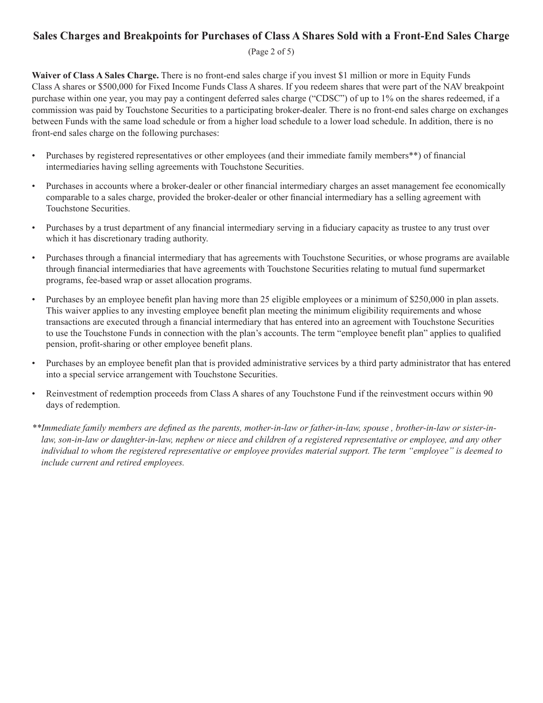#### (Page 2 of 5)

**Waiver of Class A Sales Charge.** There is no front-end sales charge if you invest \$1 million or more in Equity Funds Class A shares or \$500,000 for Fixed Income Funds Class A shares. If you redeem shares that were part of the NAV breakpoint purchase within one year, you may pay a contingent deferred sales charge ("CDSC") of up to 1% on the shares redeemed, if a commission was paid by Touchstone Securities to a participating broker-dealer. There is no front-end sales charge on exchanges between Funds with the same load schedule or from a higher load schedule to a lower load schedule. In addition, there is no front-end sales charge on the following purchases:

- • Purchases by registered representatives or other employees (and their immediate family members\*\*) of financial intermediaries having selling agreements with Touchstone Securities.
- • Purchases in accounts where a broker-dealer or other financial intermediary charges an asset management fee economically comparable to a sales charge, provided the broker-dealer or other financial intermediary has a selling agreement with Touchstone Securities.
- • Purchases by a trust department of any financial intermediary serving in a fiduciary capacity as trustee to any trust over which it has discretionary trading authority.
- Purchases through a financial intermediary that has agreements with Touchstone Securities, or whose programs are available through financial intermediaries that have agreements with Touchstone Securities relating to mutual fund supermarket programs, fee-based wrap or asset allocation programs.
- • Purchases by an employee benefit plan having more than 25 eligible employees or a minimum of \$250,000 in plan assets. This waiver applies to any investing employee benefit plan meeting the minimum eligibility requirements and whose transactions are executed through a financial intermediary that has entered into an agreement with Touchstone Securities to use the Touchstone Funds in connection with the plan's accounts. The term "employee benefit plan" applies to qualified pension, profit-sharing or other employee benefit plans.
- Purchases by an employee benefit plan that is provided administrative services by a third party administrator that has entered into a special service arrangement with Touchstone Securities.
- Reinvestment of redemption proceeds from Class A shares of any Touchstone Fund if the reinvestment occurs within 90 days of redemption.
- \*\*Immediate family members are defined as the parents, mother-in-law or father-in-law, spouse, brother-in-law or sister-inlaw, son-in-law or daughter-in-law, nephew or niece and children of a registered representative or employee, and any other individual to whom the registered representative or employee provides material support. The term "employee" is deemed to *include current and retired employees.*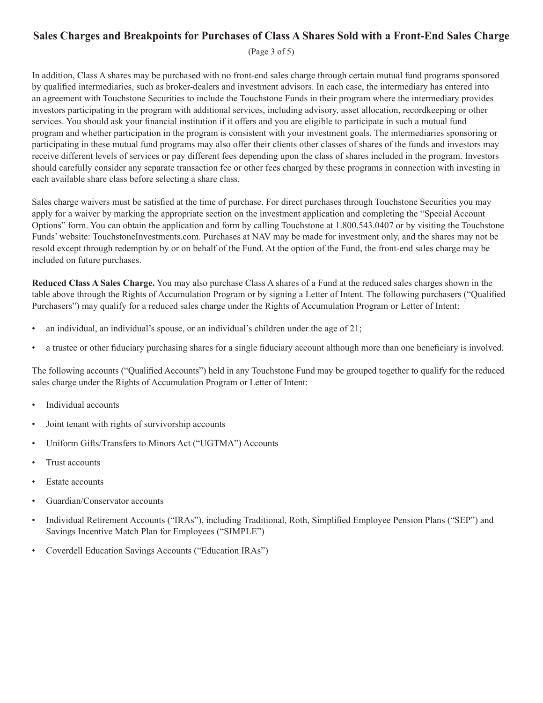(Page 3 of 5)

In addition, Class A shares may be purchased with no front-end sales charge through certain mutual fund programs sponsored by qualified intermediaries, such as broker-dealers and investment advisors. In each case, the intermediary has entered into an agreement with Touchstone Securities to include the Touchstone Funds in their program where the intermediary provides investors participating in the program with additional services, including advisory, asset allocation, recordkeeping or other services. You should ask your financial institution if it offers and you are eligible to participate in such a mutual fund program and whether participation in the program is consistent with your investment goals. The intermediaries sponsoring or participating in these mutual fund programs may also offer their clients other classes of shares of the funds and investors may receive different levels of services or pay different fees depending upon the class of shares included in the program. Investors should carefully consider any separate transaction fee or other fees charged by these programs in connection with investing in each available share class before selecting a share class.

Sales charge waivers must be satisfied at the time of purchase. For direct purchases through Touchstone Securities you may apply for a waiver by marking the appropriate section on the investment application and completing the "Special Account Options" form. You can obtain the application and form by calling Touchstone at 1.800.543.0407 or by visiting the Touchstone Funds' website: TouchstoneInvestments.com. Purchases at NAV may be made for investment only, and the shares may not be resold except through redemption by or on behalf of the Fund. At the option of the Fund, the front-end sales charge may be included on future purchases.

**Reduced Class A Sales Charge.** You may also purchase Class A shares of a Fund at the reduced sales charges shown in the table above through the Rights of Accumulation Program or by signing a Letter of Intent. The following purchasers ("Qualified Purchasers") may qualify for a reduced sales charge under the Rights of Accumulation Program or Letter of Intent:

- an individual, an individual's spouse, or an individual's children under the age of 21;
- a trustee or other fiduciary purchasing shares for a single fiduciary account although more than one beneficiary is involved.

The following accounts ("Qualified Accounts") held in any Touchstone Fund may be grouped together to qualify for the reduced sales charge under the Rights of Accumulation Program or Letter of Intent:

- Individual accounts
- Joint tenant with rights of survivorship accounts
- Uniform Gifts/Transfers to Minors Act ("UGTMA") Accounts
- Trust accounts
- **Estate accounts**
- Guardian/Conservator accounts
- • Individual Retirement Accounts ("IRAs"), including Traditional, Roth, Simplified Employee Pension Plans ("SEP") and Savings Incentive Match Plan for Employees ("SIMPLE")
- Coverdell Education Savings Accounts ("Education IRAs")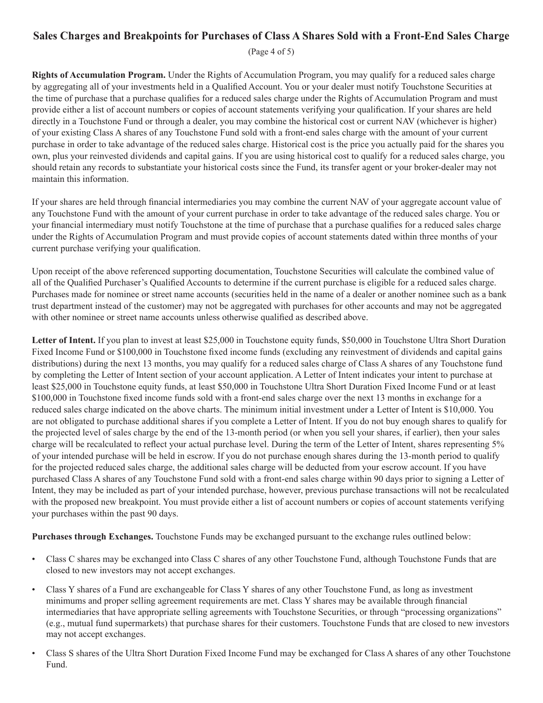(Page 4 of 5)

**Rights of Accumulation Program.** Under the Rights of Accumulation Program, you may qualify for a reduced sales charge by aggregating all of your investments held in a Qualified Account. You or your dealer must notify Touchstone Securities at the time of purchase that a purchase qualifies for a reduced sales charge under the Rights of Accumulation Program and must provide either a list of account numbers or copies of account statements verifying your qualification. If your shares are held directly in a Touchstone Fund or through a dealer, you may combine the historical cost or current NAV (whichever is higher) of your existing Class A shares of any Touchstone Fund sold with a front-end sales charge with the amount of your current purchase in order to take advantage of the reduced sales charge. Historical cost is the price you actually paid for the shares you own, plus your reinvested dividends and capital gains. If you are using historical cost to qualify for a reduced sales charge, you should retain any records to substantiate your historical costs since the Fund, its transfer agent or your broker-dealer may not maintain this information.

If your shares are held through financial intermediaries you may combine the current NAV of your aggregate account value of any Touchstone Fund with the amount of your current purchase in order to take advantage of the reduced sales charge. You or your financial intermediary must notify Touchstone at the time of purchase that a purchase qualifies for a reduced sales charge under the Rights of Accumulation Program and must provide copies of account statements dated within three months of your current purchase verifying your qualification.

Upon receipt of the above referenced supporting documentation, Touchstone Securities will calculate the combined value of all of the Qualified Purchaser's Qualified Accounts to determine if the current purchase is eligible for a reduced sales charge. Purchases made for nominee or street name accounts (securities held in the name of a dealer or another nominee such as a bank trust department instead of the customer) may not be aggregated with purchases for other accounts and may not be aggregated with other nominee or street name accounts unless otherwise qualified as described above.

**Letter of Intent.** If you plan to invest at least \$25,000 in Touchstone equity funds, \$50,000 in Touchstone Ultra Short Duration Fixed Income Fund or \$100,000 in Touchstone fixed income funds (excluding any reinvestment of dividends and capital gains distributions) during the next 13 months, you may qualify for a reduced sales charge of Class A shares of any Touchstone fund by completing the Letter of Intent section of your account application. A Letter of Intent indicates your intent to purchase at least \$25,000 in Touchstone equity funds, at least \$50,000 in Touchstone Ultra Short Duration Fixed Income Fund or at least \$100,000 in Touchstone fixed income funds sold with a front-end sales charge over the next 13 months in exchange for a reduced sales charge indicated on the above charts. The minimum initial investment under a Letter of Intent is \$10,000. You are not obligated to purchase additional shares if you complete a Letter of Intent. If you do not buy enough shares to qualify for the projected level of sales charge by the end of the 13-month period (or when you sell your shares, if earlier), then your sales charge will be recalculated to reflect your actual purchase level. During the term of the Letter of Intent, shares representing 5% of your intended purchase will be held in escrow. If you do not purchase enough shares during the 13-month period to qualify for the projected reduced sales charge, the additional sales charge will be deducted from your escrow account. If you have purchased Class A shares of any Touchstone Fund sold with a front-end sales charge within 90 days prior to signing a Letter of Intent, they may be included as part of your intended purchase, however, previous purchase transactions will not be recalculated with the proposed new breakpoint. You must provide either a list of account numbers or copies of account statements verifying your purchases within the past 90 days.

**Purchases through Exchanges.** Touchstone Funds may be exchanged pursuant to the exchange rules outlined below:

- Class C shares may be exchanged into Class C shares of any other Touchstone Fund, although Touchstone Funds that are closed to new investors may not accept exchanges.
- Class Y shares of a Fund are exchangeable for Class Y shares of any other Touchstone Fund, as long as investment minimums and proper selling agreement requirements are met. Class Y shares may be available through financial intermediaries that have appropriate selling agreements with Touchstone Securities, or through "processing organizations" (e.g., mutual fund supermarkets) that purchase shares for their customers. Touchstone Funds that are closed to new investors may not accept exchanges.
- Class S shares of the Ultra Short Duration Fixed Income Fund may be exchanged for Class A shares of any other Touchstone Fund.